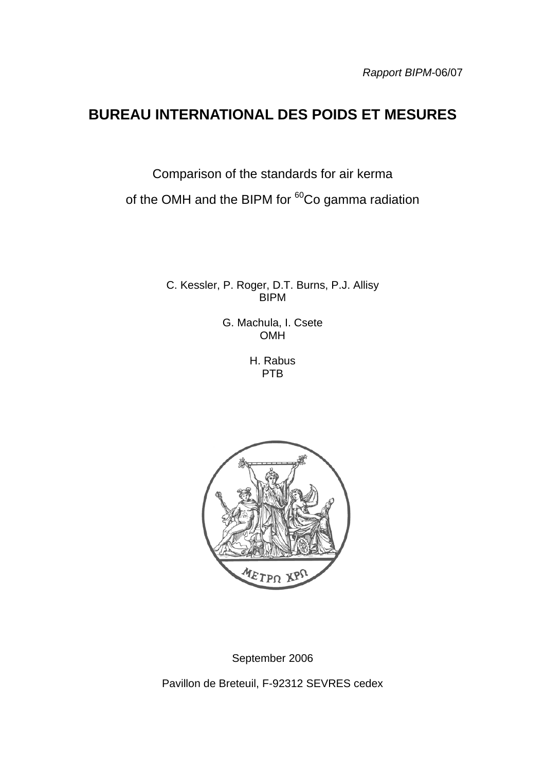# **BUREAU INTERNATIONAL DES POIDS ET MESURES**

Comparison of the standards for air kerma of the OMH and the BIPM for <sup>60</sup>Co gamma radiation

> C. Kessler, P. Roger, D.T. Burns, P.J. Allisy **BIPM**

> > G. Machula, I. Csete **OMH**

> > > H. Rabus PTB



September 2006

Pavillon de Breteuil, F-92312 SEVRES cedex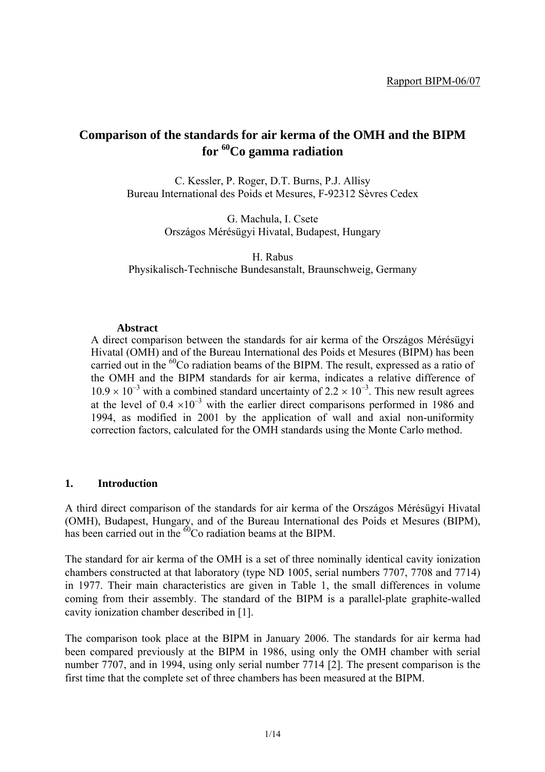# **Comparison of the standards for air kerma of the OMH and the BIPM for 60Co gamma radiation**

C. Kessler, P. Roger, D.T. Burns, P.J. Allisy Bureau International des Poids et Mesures, F-92312 Sèvres Cedex

> G. Machula, I. Csete Országos Mérésügyi Hivatal, Budapest, Hungary

H. Rabus Physikalisch-Technische Bundesanstalt, Braunschweig, Germany

#### **Abstract**

A direct comparison between the standards for air kerma of the Országos Mérésügyi Hivatal (OMH) and of the Bureau International des Poids et Mesures (BIPM) has been carried out in the  ${}^{60}$ Co radiation beams of the BIPM. The result, expressed as a ratio of the OMH and the BIPM standards for air kerma, indicates a relative difference of  $10.9 \times 10^{-3}$  with a combined standard uncertainty of  $2.2 \times 10^{-3}$ . This new result agrees at the level of  $0.4 \times 10^{-3}$  with the earlier direct comparisons performed in 1986 and 1994, as modified in 2001 by the application of wall and axial non-uniformity correction factors, calculated for the OMH standards using the Monte Carlo method.

#### **1. Introduction**

A third direct comparison of the standards for air kerma of the Országos Mérésügyi Hivatal (OMH), Budapest, Hungary, and of the Bureau International des Poids et Mesures (BIPM), has been carried out in the  $^{60}$ Co radiation beams at the BIPM.

The standard for air kerma of the OMH is a set of three nominally identical cavity ionization chambers constructed at that laboratory (type ND 1005, serial numbers 7707, 7708 and 7714) in 1977. Their main characteristics are given in Table 1, the small differences in volume coming from their assembly. The standard of the BIPM is a parallel-plate graphite-walled cavity ionization chamber described in [1].

The comparison took place at the BIPM in January 2006. The standards for air kerma had been compared previously at the BIPM in 1986, using only the OMH chamber with serial number 7707, and in 1994, using only serial number 7714 [2]. The present comparison is the first time that the complete set of three chambers has been measured at the BIPM.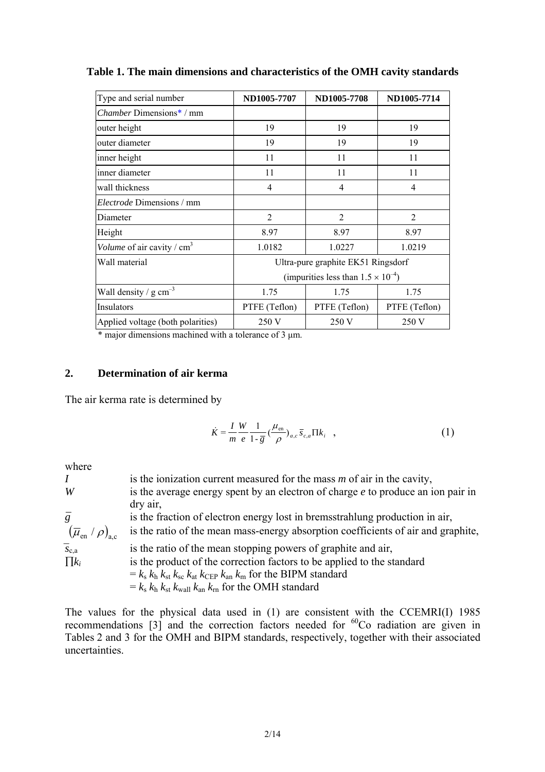| Type and serial number                     | ND1005-7707                                  | ND1005-7708    | ND1005-7714    |  |  |
|--------------------------------------------|----------------------------------------------|----------------|----------------|--|--|
| <i>Chamber Dimensions<sup>*</sup> / mm</i> |                                              |                |                |  |  |
| outer height                               | 19                                           | 19             | 19             |  |  |
| outer diameter                             | 19                                           | 19             | 19             |  |  |
| inner height                               | 11                                           | 11             | 11             |  |  |
| inner diameter                             | 11                                           | 11             | 11             |  |  |
| wall thickness                             | 4                                            | 4              | 4              |  |  |
| <i>Electrode</i> Dimensions / mm           |                                              |                |                |  |  |
| Diameter                                   | $\overline{2}$                               | $\overline{2}$ | $\overline{2}$ |  |  |
| Height                                     | 8.97                                         | 8.97           | 8.97           |  |  |
| Volume of air cavity / $cm3$               | 1.0182                                       | 1.0227         | 1.0219         |  |  |
| Wall material                              | Ultra-pure graphite EK51 Ringsdorf           |                |                |  |  |
|                                            | (impurities less than $1.5 \times 10^{-4}$ ) |                |                |  |  |
| Wall density / $g \text{ cm}^{-3}$         | 1.75                                         | 1.75           | 1.75           |  |  |
| Insulators                                 | PTFE (Teflon)                                | PTFE (Teflon)  | PTFE (Teflon)  |  |  |
| Applied voltage (both polarities)          | 250 V                                        | 250 V          | 250 V          |  |  |

**Table 1. The main dimensions and characteristics of the OMH cavity standards** 

\* major dimensions machined with a tolerance of 3 µm.

#### **2. Determination of air kerma**

The air kerma rate is determined by

$$
\dot{K} = \frac{I}{m} \frac{W}{e} \frac{1}{1 - \overline{g}} \left(\frac{\mu_{\text{en}}}{\rho}\right)_{a,c} \overline{s}_{c,a} \Pi k_i \quad , \tag{1}
$$

where

*I* is the ionization current measured for the mass *m* of air in the cavity, *W* is the average energy spent by an electron of charge *e* to produce an ion pair in dry air, *g* is the fraction of electron energy lost in bremsstrahlung production in air,  $(\overline{\mu}_{en} / \rho)$ <sub>a,c</sub> is the ratio of the mean mass-energy absorption coefficients of air and graphite,  $\bar{s}_{c,a}$  is the ratio of the mean stopping powers of graphite and air, ∏*ki* is the product of the correction factors to be applied to the standard  $= k_s k_h k_{st} k_{sc} k_{at} k_{CEP} k_{an} k_m$  for the BIPM standard  $= k_s k_h k_{st} k_{wall} k_{an} k_m$  for the OMH standard

The values for the physical data used in (1) are consistent with the CCEMRI(I) 1985 recommendations  $\begin{bmatrix} 3 \end{bmatrix}$  and the correction factors needed for  ${}^{60}$ Co radiation are given in Tables 2 and 3 for the OMH and BIPM standards, respectively, together with their associated uncertainties.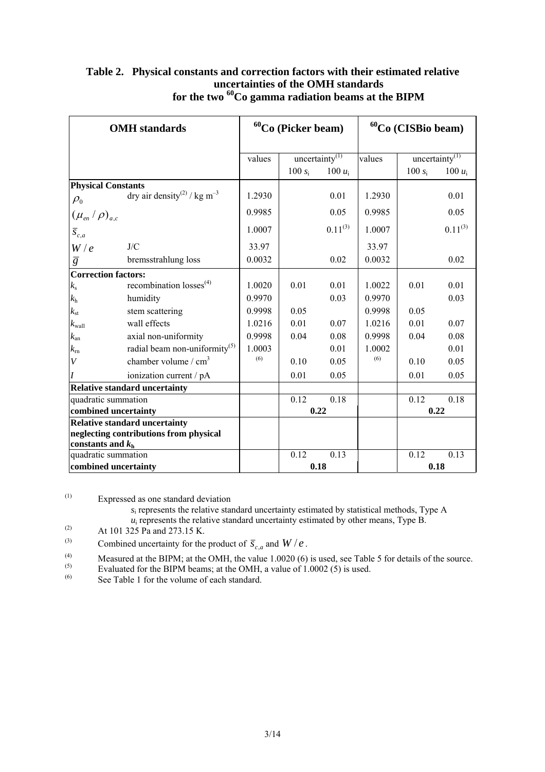| <b>OMH</b> standards                 |                                                     |        | ${}^{60}Co$ (Picker beam) |                            |        | ${}^{60}Co$ (CISBio beam) |                            |
|--------------------------------------|-----------------------------------------------------|--------|---------------------------|----------------------------|--------|---------------------------|----------------------------|
|                                      |                                                     | values |                           | uncertainty <sup>(1)</sup> | values |                           | uncertainty <sup>(1)</sup> |
|                                      |                                                     |        | 100 $s_i$                 | 100 $u_i$                  |        | $100 s_i$                 | 100 $u_i$                  |
| <b>Physical Constants</b>            |                                                     |        |                           |                            |        |                           |                            |
| $\rho_{\scriptscriptstyle 0}$        | dry air density <sup>(2)</sup> / kg m <sup>-3</sup> | 1.2930 |                           | 0.01                       | 1.2930 |                           | 0.01                       |
| $(\mu_{e n}/\rho)_{a,c}$             |                                                     | 0.9985 |                           | 0.05                       | 0.9985 |                           | 0.05                       |
| $\overline{s}_{c,a}$                 |                                                     | 1.0007 |                           | $0.11^{(3)}$               | 1.0007 |                           | $0.11^{(3)}$               |
| W/e                                  | J/C                                                 | 33.97  |                           |                            | 33.97  |                           |                            |
| $\overline{g}$                       | bremsstrahlung loss                                 | 0.0032 |                           | 0.02                       | 0.0032 |                           | 0.02                       |
| <b>Correction factors:</b>           |                                                     |        |                           |                            |        |                           |                            |
| $k_{\rm s}$                          | recombination $losses^{(4)}$                        | 1.0020 | 0.01                      | 0.01                       | 1.0022 | 0.01                      | 0.01                       |
| $k_{\rm h}$                          | humidity                                            | 0.9970 |                           | 0.03                       | 0.9970 |                           | 0.03                       |
| $k_{\rm st}$                         | stem scattering                                     | 0.9998 | 0.05                      |                            | 0.9998 | 0.05                      |                            |
| $k_{\text{wall}}$                    | wall effects                                        | 1.0216 | 0.01                      | 0.07                       | 1.0216 | 0.01                      | 0.07                       |
| $k_{\rm an}$                         | axial non-uniformity                                | 0.9998 | 0.04                      | 0.08                       | 0.9998 | 0.04                      | 0.08                       |
| $k_{\rm rn}$                         | radial beam non-uniformity <sup>(5)</sup>           | 1.0003 |                           | 0.01                       | 1.0002 |                           | 0.01                       |
| $\bar{V}$                            | chamber volume / $cm3$                              | (6)    | 0.10                      | 0.05                       | (6)    | 0.10                      | 0.05                       |
| $\overline{I}$                       | ionization current / pA                             |        | 0.01                      | 0.05                       |        | 0.01                      | 0.05                       |
|                                      | <b>Relative standard uncertainty</b>                |        |                           |                            |        |                           |                            |
| quadratic summation                  |                                                     |        | 0.12                      | 0.18                       |        | 0.12                      | 0.18                       |
| combined uncertainty                 |                                                     |        | 0.22                      |                            |        | 0.22                      |                            |
| <b>Relative standard uncertainty</b> |                                                     |        |                           |                            |        |                           |                            |
|                                      | neglecting contributions from physical              |        |                           |                            |        |                           |                            |
| constants and $kh$                   |                                                     |        |                           |                            |        |                           |                            |
| quadratic summation                  |                                                     |        | 0.12                      | 0.13                       |        | 0.12                      | 0.13                       |
| combined uncertainty                 |                                                     |        | 0.18                      |                            |        |                           | 0.18                       |

#### **Table 2. Physical constants and correction factors with their estimated relative uncertainties of the OMH standards**  for the two <sup>60</sup>Co gamma radiation beams at the BIPM

(1) Expressed as one standard deviation

*s*i represents the relative standard uncertainty estimated by statistical methods, Type A  $u_i$  represents the relative standard uncertainty estimated by other means, Type B.

(2) At 101 325 Pa and 273.15 K.<br>
Combined uncertainty for the

(3) Combined uncertainty for the product of  $\overline{s}_{c,a}$  and  $W/e$ .<br>(4) Measured at the BIPM: at the OMH the value 1,0020 (6)

(4) Measured at the BIPM; at the OMH, the value  $1.0020(6)$  is used, see Table 5 for details of the source.

(5) Evaluated for the BIPM beams; at the OMH, a value of  $1.0002$  (5) is used.

(6) See Table 1 for the volume of each standard.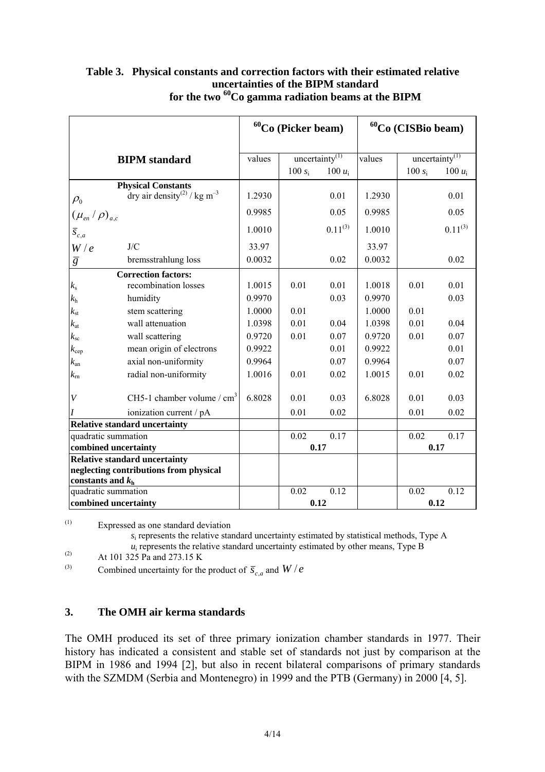|                          |                                                     | ${}^{60}Co$ (Picker beam) |           | ${}^{60}Co$ (CISBio beam)  |        |           |                            |
|--------------------------|-----------------------------------------------------|---------------------------|-----------|----------------------------|--------|-----------|----------------------------|
|                          |                                                     |                           |           |                            |        |           |                            |
|                          | <b>BIPM</b> standard                                | values                    |           | uncertainty <sup>(1)</sup> | values |           | uncertainty <sup>(1)</sup> |
|                          |                                                     |                           | $100 s_i$ | 100 $u_i$                  |        | $100 s_i$ | 100 $u_i$                  |
|                          | <b>Physical Constants</b>                           |                           |           |                            |        |           |                            |
| $\rho_{0}$               | dry air density <sup>(2)</sup> / kg m <sup>-3</sup> | 1.2930                    |           | 0.01                       | 1.2930 |           | 0.01                       |
| $(\mu_{e n}/\rho)_{a,c}$ |                                                     | 0.9985                    |           | 0.05                       | 0.9985 |           | 0.05                       |
| $\overline{s}_{c,a}$     |                                                     | 1.0010                    |           | $0.11^{(3)}$               | 1.0010 |           | $0.11^{(3)}$               |
| W/e                      | J/C                                                 | 33.97                     |           |                            | 33.97  |           |                            |
| $\overline{g}$           | bremsstrahlung loss                                 | 0.0032                    |           | 0.02                       | 0.0032 |           | 0.02                       |
|                          | <b>Correction factors:</b>                          |                           |           |                            |        |           |                            |
| $k_{\rm s}$              | recombination losses                                | 1.0015                    | 0.01      | 0.01                       | 1.0018 | 0.01      | 0.01                       |
| $k_{\rm h}$              | humidity                                            | 0.9970                    |           | 0.03                       | 0.9970 |           | 0.03                       |
| $k_{\rm st}$             | stem scattering                                     | 1.0000                    | 0.01      |                            | 1.0000 | 0.01      |                            |
| $k_{\rm at}$             | wall attenuation                                    | 1.0398                    | 0.01      | 0.04                       | 1.0398 | 0.01      | 0.04                       |
| $k_{\rm sc}$             | wall scattering                                     | 0.9720                    | 0.01      | 0.07                       | 0.9720 | 0.01      | 0.07                       |
| $k_{\rm cep}$            | mean origin of electrons                            | 0.9922                    |           | 0.01                       | 0.9922 |           | 0.01                       |
| $k_{\rm an}$             | axial non-uniformity                                | 0.9964                    |           | 0.07                       | 0.9964 |           | 0.07                       |
| $k_{\rm rn}$             | radial non-uniformity                               | 1.0016                    | 0.01      | 0.02                       | 1.0015 | 0.01      | 0.02                       |
| $\bar{V}$                | CH5-1 chamber volume / $cm3$                        | 6.8028                    | 0.01      | 0.03                       | 6.8028 | 0.01      | 0.03                       |
| I                        | ionization current / pA                             |                           | 0.01      | 0.02                       |        | 0.01      | 0.02                       |
|                          | <b>Relative standard uncertainty</b>                |                           |           |                            |        |           |                            |
| quadratic summation      |                                                     |                           | 0.02      | 0.17                       |        | 0.02      | 0.17                       |
| combined uncertainty     |                                                     |                           |           | 0.17                       |        |           | 0.17                       |
|                          | <b>Relative standard uncertainty</b>                |                           |           |                            |        |           |                            |
| constants and $kh$       | neglecting contributions from physical              |                           |           |                            |        |           |                            |
| quadratic summation      |                                                     |                           | 0.02      | 0.12                       |        | 0.02      | 0.12                       |
|                          | combined uncertainty                                |                           | 0.12      |                            |        |           | 0.12                       |

### **Table 3. Physical constants and correction factors with their estimated relative uncertainties of the BIPM standard for the two 60Co gamma radiation beams at the BIPM**

(1) Expressed as one standard deviation

*s*i represents the relative standard uncertainty estimated by statistical methods, Type A  $u_i$  represents the relative standard uncertainty estimated by other means, Type B

(2) At 101 325 Pa and 273.15 K<br>(3) Combined uncertainty for the

Combined uncertainty for the product of  $\overline{s}_{c,q}$  and  $W/e$ 

#### **3. The OMH air kerma standards**

The OMH produced its set of three primary ionization chamber standards in 1977. Their history has indicated a consistent and stable set of standards not just by comparison at the BIPM in 1986 and 1994 [2], but also in recent bilateral comparisons of primary standards with the SZMDM (Serbia and Montenegro) in 1999 and the PTB (Germany) in 2000 [4, 5].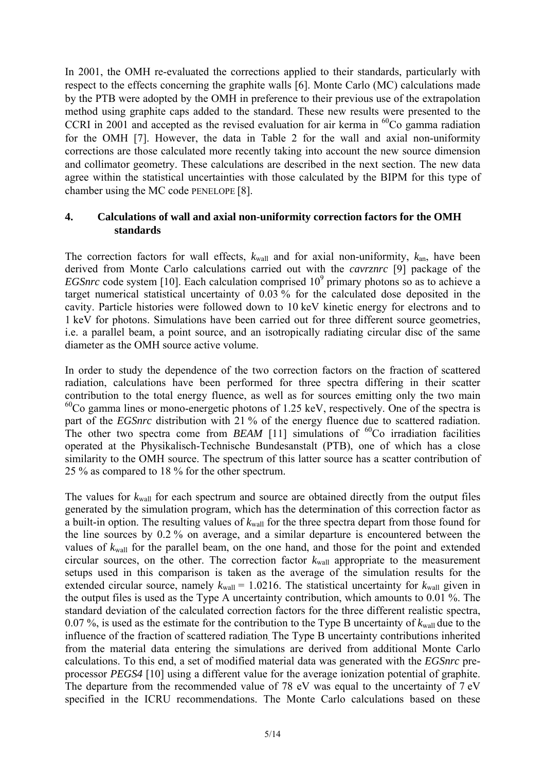In 2001, the OMH re-evaluated the corrections applied to their standards, particularly with respect to the effects concerning the graphite walls [6]. Monte Carlo (MC) calculations made by the PTB were adopted by the OMH in preference to their previous use of the extrapolation method using graphite caps added to the standard. These new results were presented to the CCRI in 2001 and accepted as the revised evaluation for air kerma in  ${}^{60}Co$  gamma radiation for the OMH [7]. However, the data in Table 2 for the wall and axial non-uniformity corrections are those calculated more recently taking into account the new source dimension and collimator geometry. These calculations are described in the next section. The new data agree within the statistical uncertainties with those calculated by the BIPM for this type of chamber using the MC code PENELOPE [8].

#### **4. Calculations of wall and axial non-uniformity correction factors for the OMH standards**

The correction factors for wall effects,  $k_{wall}$  and for axial non-uniformity,  $k_{an}$ , have been derived from Monte Carlo calculations carried out with the *cavrznrc* [9] package of the *EGSnrc* code system [10]. Each calculation comprised  $10<sup>9</sup>$  primary photons so as to achieve a target numerical statistical uncertainty of 0.03 % for the calculated dose deposited in the cavity. Particle histories were followed down to 10 keV kinetic energy for electrons and to 1 keV for photons. Simulations have been carried out for three different source geometries, i.e. a parallel beam, a point source, and an isotropically radiating circular disc of the same diameter as the OMH source active volume.

In order to study the dependence of the two correction factors on the fraction of scattered radiation, calculations have been performed for three spectra differing in their scatter contribution to the total energy fluence, as well as for sources emitting only the two main  $^{60}$ Co gamma lines or mono-energetic photons of 1.25 keV, respectively. One of the spectra is part of the *EGSnrc* distribution with 21 % of the energy fluence due to scattered radiation. The other two spectra come from *BEAM* [11] simulations of  ${}^{60}$ Co irradiation facilities operated at the Physikalisch-Technische Bundesanstalt (PTB), one of which has a close similarity to the OMH source. The spectrum of this latter source has a scatter contribution of 25 % as compared to 18 % for the other spectrum.

The values for *k*wall for each spectrum and source are obtained directly from the output files generated by the simulation program, which has the determination of this correction factor as a built-in option. The resulting values of *k*wall for the three spectra depart from those found for the line sources by 0.2 % on average, and a similar departure is encountered between the values of  $k_{\text{wall}}$  for the parallel beam, on the one hand, and those for the point and extended circular sources, on the other. The correction factor  $k_{wall}$  appropriate to the measurement setups used in this comparison is taken as the average of the simulation results for the extended circular source, namely  $k_{\text{wall}} = 1.0216$ . The statistical uncertainty for  $k_{\text{wall}}$  given in the output files is used as the Type A uncertainty contribution, which amounts to 0.01 %. The standard deviation of the calculated correction factors for the three different realistic spectra, 0.07 %, is used as the estimate for the contribution to the Type B uncertainty of  $k_{\text{wall}}$  due to the influence of the fraction of scattered radiation. The Type B uncertainty contributions inherited from the material data entering the simulations are derived from additional Monte Carlo calculations. To this end, a set of modified material data was generated with the *EGSnrc* preprocessor *PEGS4* [10] using a different value for the average ionization potential of graphite. The departure from the recommended value of 78 eV was equal to the uncertainty of 7 eV specified in the ICRU recommendations. The Monte Carlo calculations based on these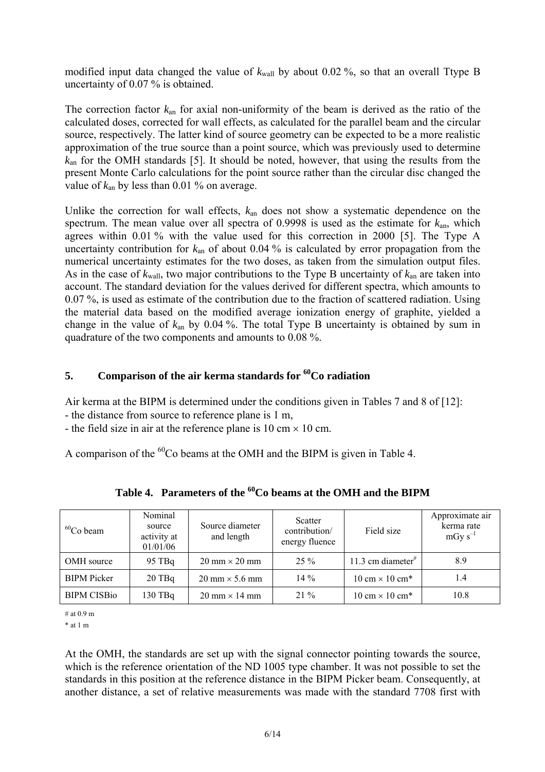modified input data changed the value of  $k_{\text{wall}}$  by about 0.02 %, so that an overall Ttype B uncertainty of 0.07 % is obtained.

The correction factor *k*an for axial non-uniformity of the beam is derived as the ratio of the calculated doses, corrected for wall effects, as calculated for the parallel beam and the circular source, respectively. The latter kind of source geometry can be expected to be a more realistic approximation of the true source than a point source, which was previously used to determine *k*an for the OMH standards [5]. It should be noted, however, that using the results from the present Monte Carlo calculations for the point source rather than the circular disc changed the value of  $k_{\text{an}}$  by less than 0.01 % on average.

Unlike the correction for wall effects, *k*an does not show a systematic dependence on the spectrum. The mean value over all spectra of 0.9998 is used as the estimate for *k*an, which agrees within 0.01 % with the value used for this correction in 2000 [5]. The Type A uncertainty contribution for  $k_{an}$  of about 0.04 % is calculated by error propagation from the numerical uncertainty estimates for the two doses, as taken from the simulation output files. As in the case of *k*wall, two major contributions to the Type B uncertainty of *k*an are taken into account. The standard deviation for the values derived for different spectra, which amounts to 0.07 %, is used as estimate of the contribution due to the fraction of scattered radiation. Using the material data based on the modified average ionization energy of graphite, yielded a change in the value of *k*an by 0.04 %. The total Type B uncertainty is obtained by sum in quadrature of the two components and amounts to 0.08 %.

# **5.** Comparison of the air kerma standards for <sup>60</sup>Co radiation

Air kerma at the BIPM is determined under the conditions given in Tables 7 and 8 of [12]:

- the distance from source to reference plane is 1 m,

- the field size in air at the reference plane is 10 cm  $\times$  10 cm.

A comparison of the  ${}^{60}Co$  beams at the OMH and the BIPM is given in Table 4.

| $60$ Co beam       | Nominal<br>source<br>activity at<br>01/01/06 | Source diameter<br>and length         | Scatter<br>contribution/<br>energy fluence | Field size                             | Approximate air<br>kerma rate<br>$mGy s^{-1}$ |
|--------------------|----------------------------------------------|---------------------------------------|--------------------------------------------|----------------------------------------|-----------------------------------------------|
| OMH source         | $95$ TBq                                     | $20 \text{ mm} \times 20 \text{ mm}$  | $25\%$                                     | 11.3 cm diameter <sup>#</sup>          | 8.9                                           |
| <b>BIPM</b> Picker | $20$ TBq                                     | $20 \text{ mm} \times 5.6 \text{ mm}$ | $14\%$                                     | $10 \text{ cm} \times 10 \text{ cm}^*$ | 1.4                                           |
| <b>BIPM CISBio</b> | $130$ TBq                                    | $20 \text{ mm} \times 14 \text{ mm}$  | $21\%$                                     | $10 \text{ cm} \times 10 \text{ cm}^*$ | 10.8                                          |

**Table 4. Parameters of the 60Co beams at the OMH and the BIPM** 

# at 0.9 m

\* at 1 m

At the OMH, the standards are set up with the signal connector pointing towards the source, which is the reference orientation of the ND 1005 type chamber. It was not possible to set the standards in this position at the reference distance in the BIPM Picker beam. Consequently, at another distance, a set of relative measurements was made with the standard 7708 first with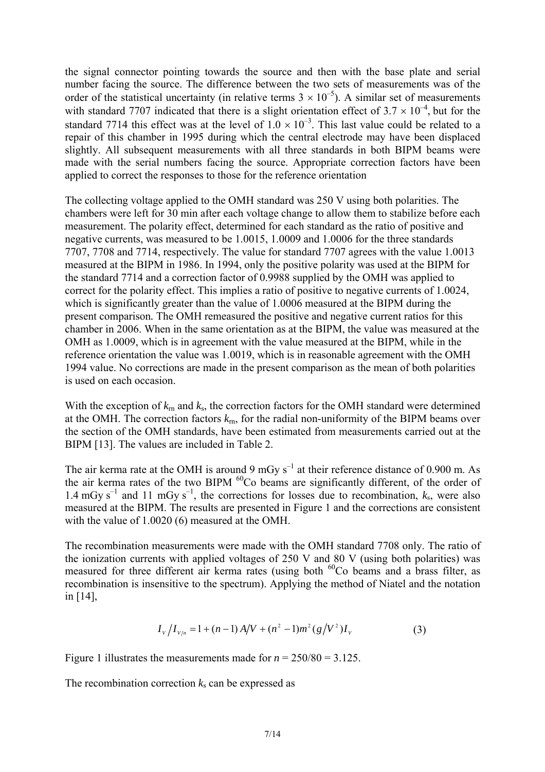the signal connector pointing towards the source and then with the base plate and serial number facing the source. The difference between the two sets of measurements was of the order of the statistical uncertainty (in relative terms  $3 \times 10^{-5}$ ). A similar set of measurements with standard 7707 indicated that there is a slight orientation effect of  $3.7 \times 10^{-4}$ , but for the standard 7714 this effect was at the level of  $1.0 \times 10^{-3}$ . This last value could be related to a repair of this chamber in 1995 during which the central electrode may have been displaced slightly. All subsequent measurements with all three standards in both BIPM beams were made with the serial numbers facing the source. Appropriate correction factors have been applied to correct the responses to those for the reference orientation

The collecting voltage applied to the OMH standard was 250 V using both polarities. The chambers were left for 30 min after each voltage change to allow them to stabilize before each measurement. The polarity effect, determined for each standard as the ratio of positive and negative currents, was measured to be 1.0015, 1.0009 and 1.0006 for the three standards 7707, 7708 and 7714, respectively. The value for standard 7707 agrees with the value 1.0013 measured at the BIPM in 1986. In 1994, only the positive polarity was used at the BIPM for the standard 7714 and a correction factor of 0.9988 supplied by the OMH was applied to correct for the polarity effect. This implies a ratio of positive to negative currents of 1.0024, which is significantly greater than the value of 1.0006 measured at the BIPM during the present comparison*.* The OMH remeasured the positive and negative current ratios for this chamber in 2006. When in the same orientation as at the BIPM, the value was measured at the OMH as 1.0009, which is in agreement with the value measured at the BIPM, while in the reference orientation the value was 1.0019, which is in reasonable agreement with the OMH 1994 value. No corrections are made in the present comparison as the mean of both polarities is used on each occasion.

With the exception of  $k_{\text{rn}}$  and  $k_{\text{s}}$ , the correction factors for the OMH standard were determined at the OMH. The correction factors *k*rn, for the radial non-uniformity of the BIPM beams over the section of the OMH standards, have been estimated from measurements carried out at the BIPM [13]. The values are included in Table 2.

The air kerma rate at the OMH is around 9 mGy  $s^{-1}$  at their reference distance of 0.900 m. As the air kerma rates of the two BIPM <sup>60</sup>Co beams are significantly different, of the order of 1.4 mGy s<sup>-1</sup> and 11 mGy s<sup>-1</sup>, the corrections for losses due to recombination,  $k_s$ , were also measured at the BIPM. The results are presented in Figure 1 and the corrections are consistent with the value of 1.0020 (6) measured at the OMH.

The recombination measurements were made with the OMH standard 7708 only. The ratio of the ionization currents with applied voltages of 250 V and 80 V (using both polarities) was measured for three different air kerma rates (using both  ${}^{60}$ Co beams and a brass filter, as recombination is insensitive to the spectrum). Applying the method of Niatel and the notation in [14],

$$
I_{V}/I_{V/n} = 1 + (n-1)A/V + (n^2 - 1)m^2(g/V^2)I_{V}
$$
\n(3)

Figure 1 illustrates the measurements made for  $n = 250/80 = 3.125$ .

The recombination correction  $k_s$  can be expressed as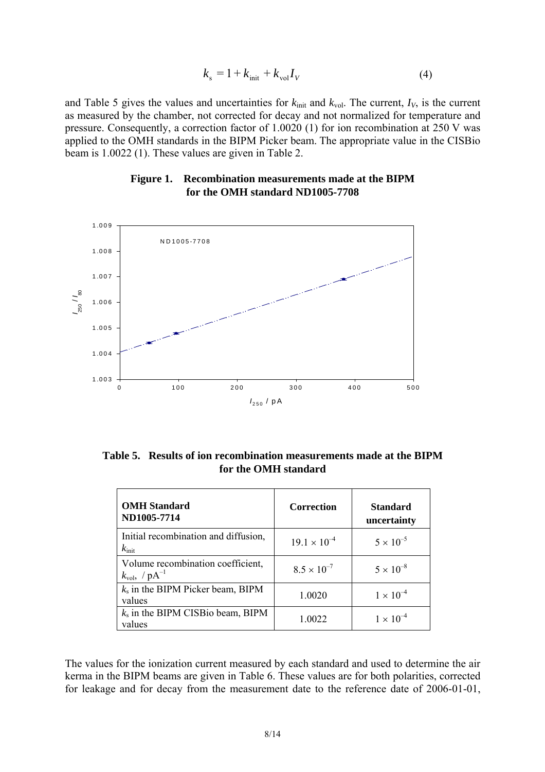$$
k_{\rm s} = 1 + k_{\rm init} + k_{\rm vol} I_V \tag{4}
$$

and Table 5 gives the values and uncertainties for  $k_{init}$  and  $k_{vol}$ . The current,  $I_V$ , is the current as measured by the chamber, not corrected for decay and not normalized for temperature and pressure. Consequently, a correction factor of 1.0020 (1) for ion recombination at 250 V was applied to the OMH standards in the BIPM Picker beam. The appropriate value in the CISBio beam is 1.0022 (1). These values are given in Table 2.

#### **Figure 1. Recombination measurements made at the BIPM for the OMH standard ND1005-7708**



**Table 5. Results of ion recombination measurements made at the BIPM for the OMH standard**

| <b>OMH</b> Standard<br>ND1005-7714                               | <b>Correction</b>     | <b>Standard</b><br>uncertainty |
|------------------------------------------------------------------|-----------------------|--------------------------------|
| Initial recombination and diffusion,<br>$k_{\text{init}}$        | $19.1 \times 10^{-4}$ | $5 \times 10^{-5}$             |
| Volume recombination coefficient,<br>$k_{\rm vol}$ , / $pA^{-1}$ | $8.5 \times 10^{-7}$  | $5 \times 10^{-8}$             |
| $k_s$ in the BIPM Picker beam, BIPM<br>values                    | 1.0020                | $1 \times 10^{-4}$             |
| $k_s$ in the BIPM CISBio beam, BIPM<br>values                    | 1.0022                | $1 \times 10^{-4}$             |

The values for the ionization current measured by each standard and used to determine the air kerma in the BIPM beams are given in Table 6. These values are for both polarities, corrected for leakage and for decay from the measurement date to the reference date of 2006-01-01,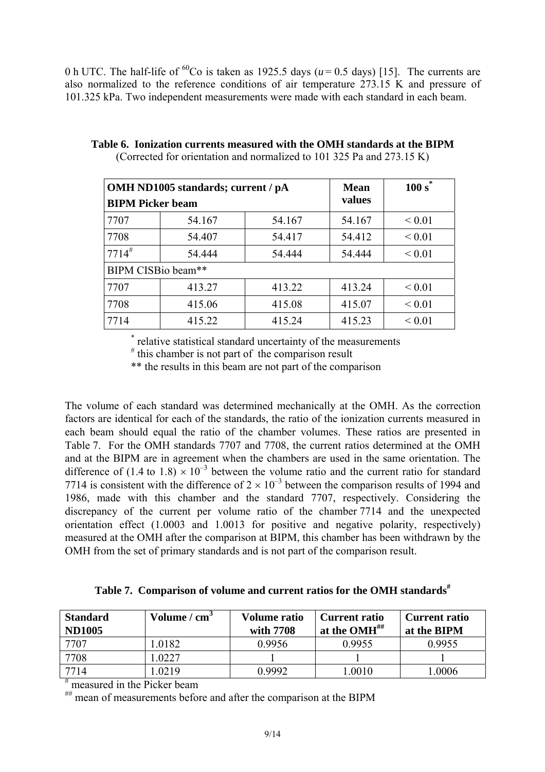0 h UTC. The half-life of <sup>60</sup>Co is taken as 1925.5 days ( $u = 0.5$  days) [15]. The currents are also normalized to the reference conditions of air temperature 273.15 K and pressure of 101.325 kPa. Two independent measurements were made with each standard in each beam.

|                         | OMH ND1005 standards; current / pA | <b>Mean</b> | $100 s^*$ |             |  |  |  |
|-------------------------|------------------------------------|-------------|-----------|-------------|--|--|--|
| <b>BIPM Picker beam</b> |                                    |             | values    |             |  |  |  |
| 7707                    | 54.167                             | 54.167      | 54.167    | ${}_{0.01}$ |  |  |  |
| 7708                    | 54.407                             | 54.417      | 54.412    | ${}_{0.01}$ |  |  |  |
| $7714^{\#}$             | 54.444                             | 54.444      | 54.444    | ${}_{0.01}$ |  |  |  |
|                         | BIPM CISBio beam**                 |             |           |             |  |  |  |
| 7707                    | 413.27                             | 413.22      | 413.24    | ${}_{0.01}$ |  |  |  |
| 7708                    | 415.06                             | 415.08      | 415.07    | ${}_{0.01}$ |  |  |  |
| 7714                    | 415.22                             | 415.24      | 415.23    | ${}_{0.01}$ |  |  |  |

**Table 6. Ionization currents measured with the OMH standards at the BIPM**  (Corrected for orientation and normalized to 101 325 Pa and 273.15 K)

 \* relative statistical standard uncertainty of the measurements

# this chamber is not part of the comparison result

\*\* the results in this beam are not part of the comparison

The volume of each standard was determined mechanically at the OMH. As the correction factors are identical for each of the standards, the ratio of the ionization currents measured in each beam should equal the ratio of the chamber volumes. These ratios are presented in Table 7. For the OMH standards 7707 and 7708, the current ratios determined at the OMH and at the BIPM are in agreement when the chambers are used in the same orientation. The difference of  $(1.4 \text{ to } 1.8) \times 10^{-3}$  between the volume ratio and the current ratio for standard 7714 is consistent with the difference of  $2 \times 10^{-3}$  between the comparison results of 1994 and 1986, made with this chamber and the standard 7707, respectively. Considering the discrepancy of the current per volume ratio of the chamber 7714 and the unexpected orientation effect (1.0003 and 1.0013 for positive and negative polarity, respectively) measured at the OMH after the comparison at BIPM, this chamber has been withdrawn by the OMH from the set of primary standards and is not part of the comparison result.

| Table 7. Comparison of volume and current ratios for the OMH standards <sup>#</sup> |
|-------------------------------------------------------------------------------------|
|-------------------------------------------------------------------------------------|

| <b>Standard</b><br><b>ND1005</b> | Volume / $cm3$ | Volume ratio<br>with 7708 | <b>Current ratio</b><br>$\overline{\phantom{a}}$ at the OMH## | <b>Current ratio</b><br>at the BIPM |
|----------------------------------|----------------|---------------------------|---------------------------------------------------------------|-------------------------------------|
| 7707                             | .0182          | 0.9956                    | 0.9955                                                        | 0.9955                              |
| 7708                             | .0227          |                           |                                                               |                                     |
| 7714                             | .0219          | 0.9992                    | 1.0010                                                        | .0006                               |

# measured in the Picker beam

## mean of measurements before and after the comparison at the BIPM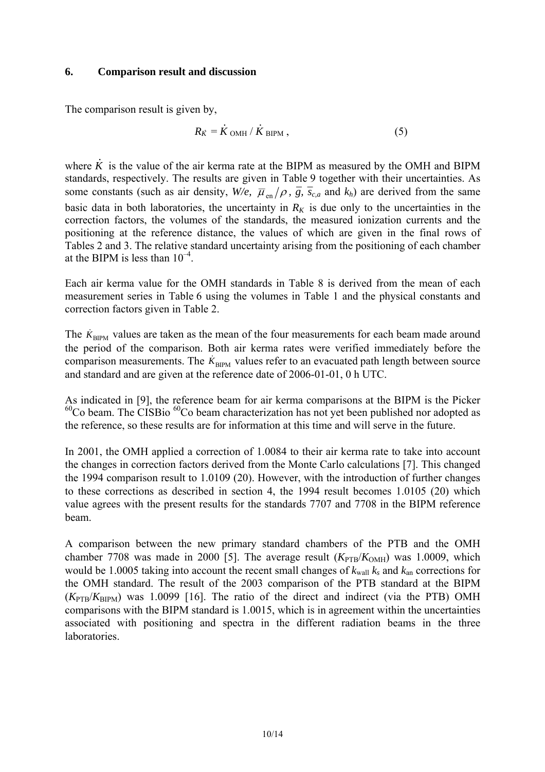#### **6. Comparison result and discussion**

The comparison result is given by,

$$
R_{\dot{K}} = \dot{K} \text{ OMH} / \dot{K} \text{ BIPM} , \qquad (5)
$$

where *K .* is the value of the air kerma rate at the BIPM as measured by the OMH and BIPM standards, respectively. The results are given in Table 9 together with their uncertainties. As some constants (such as air density,  $W/e$ ,  $\overline{\mu}_{en}/\rho$ ,  $\overline{g}$ ,  $\overline{s}_{c,a}$  and  $k_h$ ) are derived from the same basic data in both laboratories, the uncertainty in  $R_K$  is due only to the uncertainties in the correction factors, the volumes of the standards, the measured ionization currents and the positioning at the reference distance, the values of which are given in the final rows of Tables 2 and 3. The relative standard uncertainty arising from the positioning of each chamber at the BIPM is less than  $10^{-4}$ .

Each air kerma value for the OMH standards in Table 8 is derived from the mean of each measurement series in Table 6 using the volumes in Table 1 and the physical constants and correction factors given in Table 2.

The  $\dot{K}_{\text{BIPM}}$  values are taken as the mean of the four measurements for each beam made around the period of the comparison. Both air kerma rates were verified immediately before the comparison measurements. The  $\dot{K}_{\text{BIPM}}$  values refer to an evacuated path length between source and standard and are given at the reference date of 2006-01-01, 0 h UTC.

As indicated in [9], the reference beam for air kerma comparisons at the BIPM is the Picker  $^{60}$ Co beam. The CISBio  $^{60}$ Co beam characterization has not yet been published nor adopted as the reference, so these results are for information at this time and will serve in the future.

In 2001, the OMH applied a correction of 1.0084 to their air kerma rate to take into account the changes in correction factors derived from the Monte Carlo calculations [7]. This changed the 1994 comparison result to 1.0109 (20). However, with the introduction of further changes to these corrections as described in section 4, the 1994 result becomes 1.0105 (20) which value agrees with the present results for the standards 7707 and 7708 in the BIPM reference beam.

A comparison between the new primary standard chambers of the PTB and the OMH chamber 7708 was made in 2000 [5]. The average result  $(K_{PTB}/K_{OMH})$  was 1.0009, which would be 1.0005 taking into account the recent small changes of  $k_{wall}$   $k_s$  and  $k_{an}$  corrections for the OMH standard. The result of the 2003 comparison of the PTB standard at the BIPM  $(K_{\text{PTB}}/K_{\text{BIPM}})$  was 1.0099 [16]. The ratio of the direct and indirect (via the PTB) OMH comparisons with the BIPM standard is 1.0015, which is in agreement within the uncertainties associated with positioning and spectra in the different radiation beams in the three **laboratories**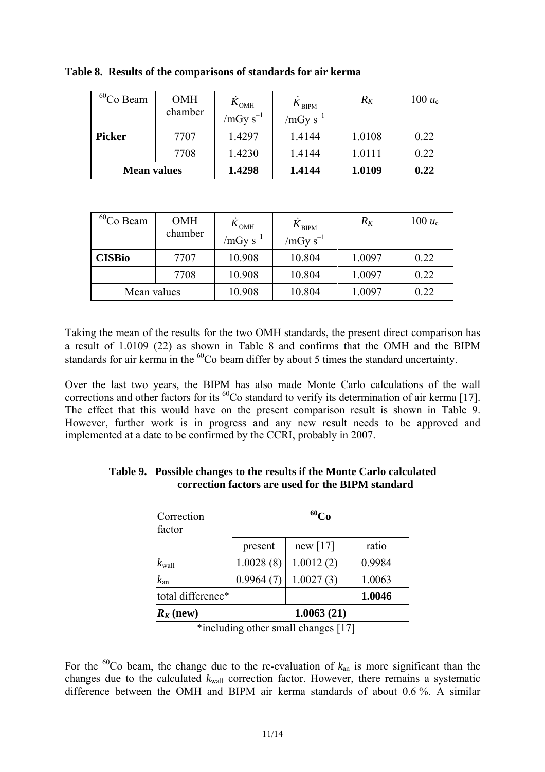| $60$ Co Beam       | <b>OMH</b><br>chamber | $K_{\text{OMH}}$<br>$/mGy s^{-1}$ | $K_{\rm BIPM}$<br>$/mGy s^{-1}$ | $R_K$  | 100 $u_c$ |
|--------------------|-----------------------|-----------------------------------|---------------------------------|--------|-----------|
| <b>Picker</b>      | 7707                  | 1.4297                            | 1.4144                          | 1.0108 | 0.22      |
|                    | 7708                  | 1.4230                            | 1.4144                          | 1.0111 | 0.22      |
| <b>Mean values</b> |                       | 1.4298                            | 1.4144                          | 1.0109 | 0.22      |

**Table 8. Results of the comparisons of standards for air kerma** 

| ${}^{60}$ Co Beam | <b>OMH</b> | $K_{\text{OMH}}$ | $K_{\rm BIPM}$ | $R_K$  | 100 $u_c$ |
|-------------------|------------|------------------|----------------|--------|-----------|
|                   | chamber    | /mGy $s^{-1}$    | $/mGy s^{-1}$  |        |           |
| <b>CISBio</b>     | 7707       | 10.908           | 10.804         | 1.0097 | 0.22      |
|                   | 7708       | 10.908           | 10.804         | 1.0097 | 0.22      |
| Mean values       |            | 10.908           | 10.804         | 1.0097 | 0.22      |

Taking the mean of the results for the two OMH standards, the present direct comparison has a result of 1.0109 (22) as shown in Table 8 and confirms that the OMH and the BIPM standards for air kerma in the <sup>60</sup>Co beam differ by about 5 times the standard uncertainty.

Over the last two years, the BIPM has also made Monte Carlo calculations of the wall corrections and other factors for its  ${}^{60}$ Co standard to verify its determination of air kerma [17]. The effect that this would have on the present comparison result is shown in Table 9. However, further work is in progress and any new result needs to be approved and implemented at a date to be confirmed by the CCRI, probably in 2007.

| Correction<br>factor | $^{60}Co$  |           |        |  |  |
|----------------------|------------|-----------|--------|--|--|
|                      | present    | new [17]  | ratio  |  |  |
| $k_{\mathrm{wall}}$  | 1.0028(8)  | 1.0012(2) | 0.9984 |  |  |
| $k_{\rm an}$         | 0.9964(7)  | 1.0027(3) | 1.0063 |  |  |
| total difference*    |            |           | 1.0046 |  |  |
| $R_K$ (new)          | 1.0063(21) |           |        |  |  |

**Table 9. Possible changes to the results if the Monte Carlo calculated correction factors are used for the BIPM standard** 

\*including other small changes [17]

For the  ${}^{60}$ Co beam, the change due to the re-evaluation of  $k_{an}$  is more significant than the changes due to the calculated  $k_{wall}$  correction factor. However, there remains a systematic difference between the OMH and BIPM air kerma standards of about 0.6 %. A similar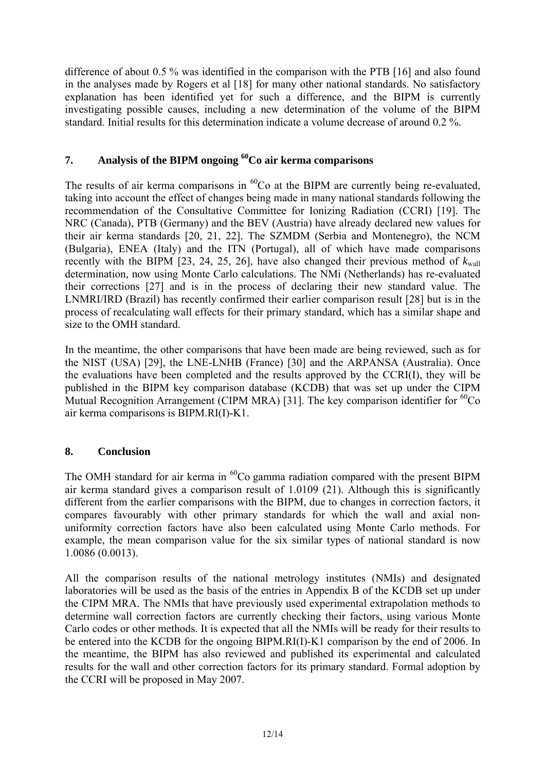difference of about 0.5 % was identified in the comparison with the PTB [16] and also found in the analyses made by Rogers et al [18] for many other national standards. No satisfactory explanation has been identified yet for such a difference, and the BIPM is currently investigating possible causes, including a new determination of the volume of the BIPM standard. Initial results for this determination indicate a volume decrease of around 0.2 %.

# **7. Analysis of the BIPM ongoing 60Co air kerma comparisons**

The results of air kerma comparisons in  ${}^{60}Co$  at the BIPM are currently being re-evaluated, taking into account the effect of changes being made in many national standards following the recommendation of the Consultative Committee for Ionizing Radiation (CCRI) [19]. The NRC (Canada), PTB (Germany) and the BEV (Austria) have already declared new values for their air kerma standards [20, 21, 22]. The SZMDM (Serbia and Montenegro), the NCM (Bulgaria), ENEA (Italy) and the ITN (Portugal), all of which have made comparisons recently with the BIPM [23, 24, 25, 26], have also changed their previous method of  $k_{\text{wall}}$ determination, now using Monte Carlo calculations. The NMi (Netherlands) has re-evaluated their corrections [27] and is in the process of declaring their new standard value. The LNMRI/IRD (Brazil) has recently confirmed their earlier comparison result [28] but is in the process of recalculating wall effects for their primary standard, which has a similar shape and size to the OMH standard.

In the meantime, the other comparisons that have been made are being reviewed, such as for the NIST (USA) [29], the LNE-LNHB (France) [30] and the ARPANSA (Australia). Once the evaluations have been completed and the results approved by the CCRI(I), they will be published in the BIPM key comparison database (KCDB) that was set up under the CIPM Mutual Recognition Arrangement (CIPM MRA) [31]. The key comparison identifier for  ${}^{60}Co$ air kerma comparisons is BIPM.RI(I)-K1.

# **8. Conclusion**

The OMH standard for air kerma in  ${}^{60}Co$  gamma radiation compared with the present BIPM air kerma standard gives a comparison result of 1.0109 (21). Although this is significantly different from the earlier comparisons with the BIPM, due to changes in correction factors, it compares favourably with other primary standards for which the wall and axial nonuniformity correction factors have also been calculated using Monte Carlo methods. For example, the mean comparison value for the six similar types of national standard is now 1.0086 (0.0013).

All the comparison results of the national metrology institutes (NMIs) and designated laboratories will be used as the basis of the entries in Appendix B of the KCDB set up under the CIPM MRA. The NMIs that have previously used experimental extrapolation methods to determine wall correction factors are currently checking their factors, using various Monte Carlo codes or other methods. It is expected that all the NMIs will be ready for their results to be entered into the KCDB for the ongoing BIPM.RI(I)-K1 comparison by the end of 2006. In the meantime, the BIPM has also reviewed and published its experimental and calculated results for the wall and other correction factors for its primary standard. Formal adoption by the CCRI will be proposed in May 2007.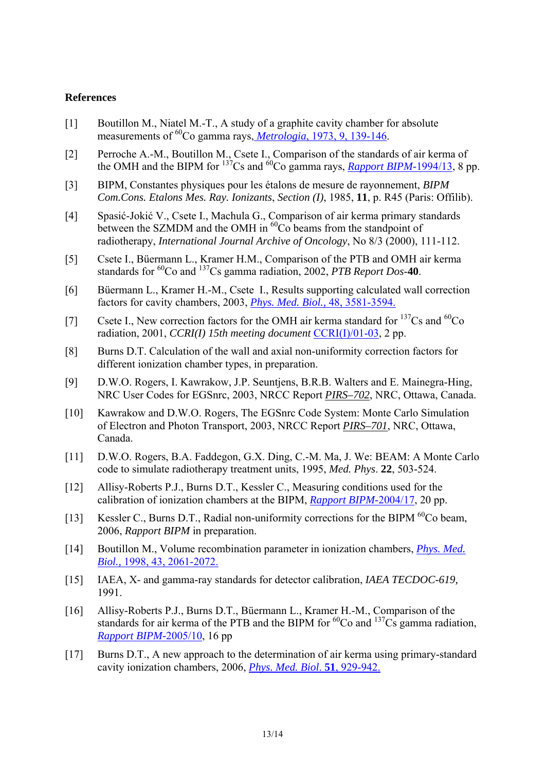#### **References**

- [1] Boutillon M., Niatel M.-T., A study of a graphite cavity chamber for absolute measurements of <sup>60</sup>Co gamma rays, *Metrologia*[, 1973, 9, 139-146](http://www.iop.org/EJ/abstract/0026-1394/9/4/001/).
- [2] Perroche A.-M., Boutillon M., Csete I., Comparison of the standards of air kerma of the OMH and the BIPM for  $^{137}Cs$  and  $^{60}Co$  gamma rays, *[Rapport BIPM-](https://www.bipm.org/jsp/en/ViewBIPMReport.jsp?YEAR=1994&REP=13)*1994/13, 8 pp.
- [3] BIPM, Constantes physiques pour les étalons de mesure de rayonnement, *BIPM Com.Cons. Etalons Mes. Ray. Ionizants*, *Section (I)*, 1985, **11**, p. R45 (Paris: Offilib).
- [4] Spasić-Jokić V., Csete I., Machula G., Comparison of air kerma primary standards between the SZMDM and the OMH in <sup>60</sup>Co beams from the standpoint of radiotherapy, *International Journal Archive of Oncology*, No 8/3 (2000), 111-112.
- [5] Csete I., Büermann L., Kramer H.M., Comparison of the PTB and OMH air kerma standards for <sup>60</sup>Co and <sup>137</sup>Cs gamma radiation, 2002, *PTB Report Dos*-40.
- [6] Büermann L., Kramer H.-M., Csete I., Results supporting calculated wall correction factors for cavity chambers, 2003, *[Phys. Med. Biol.,](http://www.iop.org/EJ/abstract/0031-9155/48/21/009)* 48, 3581-3594.
- [7] Csete I., New correction factors for the OMH air kerma standard for  $^{137}Cs$  and  $^{60}Co$ radiation, 2001, *CCRI(I) 15th meeting document* [CCRI\(I\)/01-03,](https://www.bipm.org/cc/CCRI(I)/Allowed/15/CCRI(I)01-03.pdf) 2 pp.
- [8] Burns D.T. Calculation of the wall and axial non-uniformity correction factors for different ionization chamber types, in preparation.
- [9] D.W.O. Rogers, I. Kawrakow, J.P. Seuntjens, B.R.B. Walters and E. Mainegra-Hing, NRC User Codes for EGSnrc, 2003, NRCC Report *PIRS–702*, NRC, Ottawa, Canada.
- [10] Kawrakow and D.W.O. Rogers, The EGSnrc Code System: Monte Carlo Simulation of Electron and Photon Transport, 2003, NRCC Report *PIRS–701*, NRC, Ottawa, Canada.
- [11] D.W.O. Rogers, B.A. Faddegon, G.X. Ding, C.-M. Ma, J. We: BEAM: A Monte Carlo code to simulate radiotherapy treatment units, 1995, *Med. Phys*. **22**, 503-524.
- [12] Allisy-Roberts P.J., Burns D.T., Kessler C., Measuring conditions used for the calibration of ionization chambers at the BIPM, *[Rapport BIPM-](https://www.bipm.org/utils/common/pdf/rapportBIPM/2004/17.pdf)*2004/17, 20 pp.
- [13] Kessler C., Burns D.T., Radial non-uniformity corrections for the BIPM <sup>60</sup>Co beam, 2006, *Rapport BIPM* in preparation.
- [14] Boutillon M., Volume recombination parameter in ionization chambers, *[Phys. Med.](http://www.iop.org/EJ/abstract/0031-9155/43/8/005/)  Biol.,* [1998, 43, 2061-2072.](http://www.iop.org/EJ/abstract/0031-9155/43/8/005/)
- [15] IAEA, X- and gamma-ray standards for detector calibration, *IAEA TECDOC-619,*  1991.
- [16] Allisy-Roberts P.J., Burns D.T., Büermann L., Kramer H.-M., Comparison of the standards for air kerma of the PTB and the BIPM for  ${}^{60}Co$  and  ${}^{137}Cs$  gamma radiation, *[Rapport BIPM-](https://www.bipm.org/utils/common/pdf/rapportBIPM/2005/10.pdf)*2005/10, 16 pp
- [17] Burns D.T., A new approach to the determination of air kerma using primary-standard cavity ionization chambers, 2006, *[Phys. Med. Biol](http://www.iop.org/EJ/abstract/0031-9155/51/4/012/)*. **51**, 929-942.